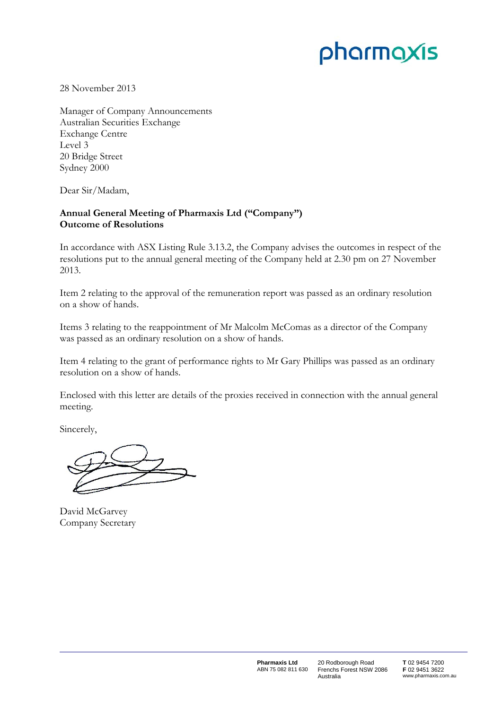# pharmaxis

28 November 2013

Manager of Company Announcements Australian Securities Exchange Exchange Centre Level 3 20 Bridge Street Sydney 2000

Dear Sir/Madam,

## **Annual General Meeting of Pharmaxis Ltd ("Company") Outcome of Resolutions**

In accordance with ASX Listing Rule 3.13.2, the Company advises the outcomes in respect of the resolutions put to the annual general meeting of the Company held at 2.30 pm on 27 November 2013.

Item 2 relating to the approval of the remuneration report was passed as an ordinary resolution on a show of hands.

Items 3 relating to the reappointment of Mr Malcolm McComas as a director of the Company was passed as an ordinary resolution on a show of hands.

Item 4 relating to the grant of performance rights to Mr Gary Phillips was passed as an ordinary resolution on a show of hands.

Enclosed with this letter are details of the proxies received in connection with the annual general meeting.

Sincerely,

David McGarvey Company Secretary

20 Rodborough Road Frenchs Forest NSW 2086 Australia

**T** 02 9454 7200 **F** 02 9451 3622 www.pharmaxis.com.au